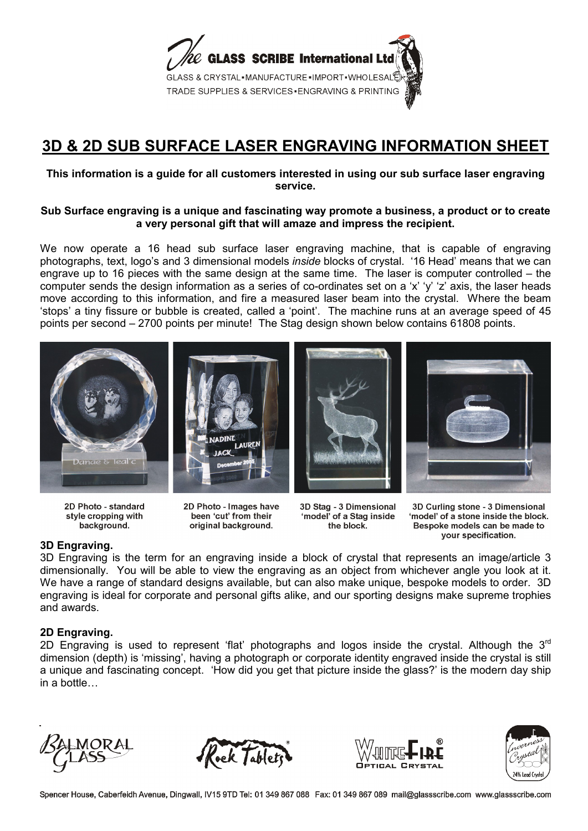

# **3D & 2D SUB SURFACE LASER ENGRAVING INFORMATION SHEET**

### **This information is a guide for all customers interested in using our sub surface laser engraving service.**

#### **Sub Surface engraving is a unique and fascinating way promote a business, a product or to create a very personal gift that will amaze and impress the recipient.**

We now operate a 16 head sub surface laser engraving machine, that is capable of engraving photographs, text, logo's and 3 dimensional models *inside* blocks of crystal. '16 Head' means that we can engrave up to 16 pieces with the same design at the same time. The laser is computer controlled – the computer sends the design information as a series of co-ordinates set on a 'x' 'y' 'z' axis, the laser heads move according to this information, and fire a measured laser beam into the crystal. Where the beam 'stops' a tiny fissure or bubble is created, called a 'point'. The machine runs at an average speed of 45 points per second – 2700 points per minute! The Stag design shown below contains 61808 points.









2D Photo - standard style cropping with background.

2D Photo - Images have been 'cut' from their original background.

3D Stag - 3 Dimensional 'model' of a Stag inside the block.

3D Curling stone - 3 Dimensional 'model' of a stone inside the block. Bespoke models can be made to your specification.

## **3D Engraving.**

3D Engraving is the term for an engraving inside a block of crystal that represents an image/article 3 dimensionally. You will be able to view the engraving as an object from whichever angle you look at it. We have a range of standard designs available, but can also make unique, bespoke models to order. 3D engraving is ideal for corporate and personal gifts alike, and our sporting designs make supreme trophies and awards.

## **2D Engraving.**

2D Engraving is used to represent 'flat' photographs and logos inside the crystal. Although the  $3<sup>rd</sup>$ dimension (depth) is 'missing', having a photograph or corporate identity engraved inside the crystal is still a unique and fascinating concept. 'How did you get that picture inside the glass?' is the modern day ship in a bottle…